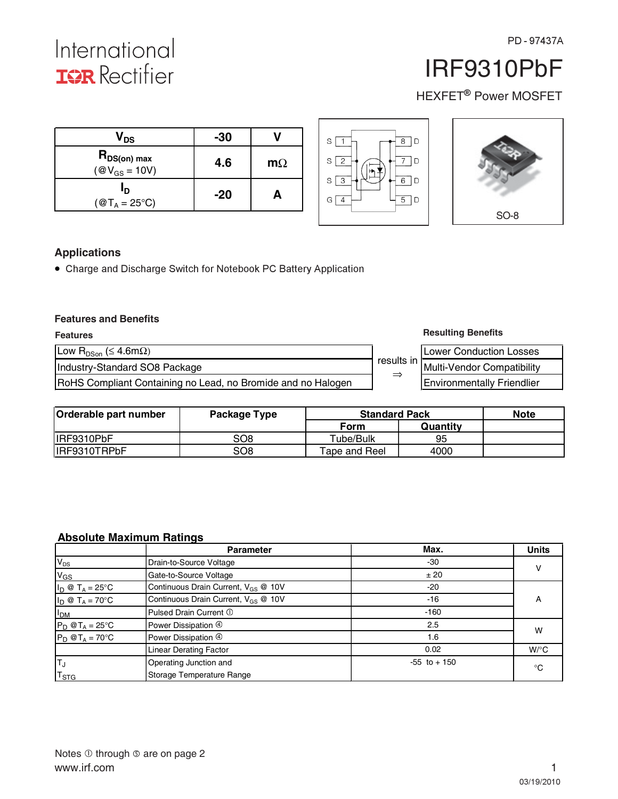International **IGR** Rectifier

h

# IRF9310PbF

HEXFET<sup>®</sup> Power MOSFET

 $\blacksquare$ 

| $\bm{{\mathsf{V}}}_\mathsf{DS}$                      | $-30$ |           | l D<br>8  <br>S                               |             |
|------------------------------------------------------|-------|-----------|-----------------------------------------------|-------------|
| $R_{DS(on) max}$<br>$(\textcircled{a} V_{GS} = 10V)$ | 4.6   | $m\Omega$ | $\overline{ }$<br>۱D.<br>2<br>S<br>H.         |             |
| םי<br>$({@T_A} = 25^{\circ}C)$                       | $-20$ | A         | 6<br>D<br>3<br>S<br>5 <sup>5</sup><br>D<br>G. |             |
|                                                      |       |           |                                               | <b>SO-8</b> |

## **Applications**

• Charge and Discharge Switch for Notebook PC Battery Application

#### **Features and Benefits**

| <b>Features</b>                                              |                     | <b>Resulting Benefits</b>         |
|--------------------------------------------------------------|---------------------|-----------------------------------|
| Low R <sub>DSon</sub> ( $\leq 4.6$ m $\Omega$ )              |                     | Lower Conduction Losses           |
| Industry-Standard SO8 Package                                | results in <b> </b> | Multi-Vendor Compatibility        |
| RoHS Compliant Containing no Lead, no Bromide and no Halogen | $\Rightarrow$       | <b>Environmentally Friendlier</b> |

| Orderable part number | Package Type | <b>Standard Pack</b> |          | <b>Note</b> |
|-----------------------|--------------|----------------------|----------|-------------|
|                       |              | Form                 | Quantity |             |
| IRF9310PbF            | SO8          | Tube/Bulk            | 95       |             |
| IRF9310TRPbF          | SO8          | Tape and Reel        | 4000     |             |

## **Absolute Maximum Ratings**

|                             | <b>Parameter</b>                                | Max.            | <b>Units</b>       |  |
|-----------------------------|-------------------------------------------------|-----------------|--------------------|--|
| $V_{DS}$                    | Drain-to-Source Voltage                         | $-30$           | v                  |  |
| $V_{GS}$                    | Gate-to-Source Voltage                          | ± 20            |                    |  |
| $I_D @ T_A = 25^{\circ}C$   | Continuous Drain Current, V <sub>GS</sub> @ 10V | $-20$           |                    |  |
| $I_D \otimes T_A = 70$ °C   | Continuous Drain Current, V <sub>GS</sub> @ 10V | $-16$           | A                  |  |
| I <sub>DM</sub>             | Pulsed Drain Current 1                          | $-160$          |                    |  |
| $P_D @T_A = 25^\circ C$     | Power Dissipation 4                             | 2.5             | W                  |  |
| $P_D @T_A = 70^\circ C$     | Power Dissipation 4                             | 1.6             |                    |  |
|                             | <b>Linear Derating Factor</b>                   | 0.02            | $W$ <sup>o</sup> C |  |
| $T_{\rm J}$                 | Operating Junction and                          | $-55$ to $+150$ | °C                 |  |
| $\mathsf{r}_{\texttt{STG}}$ | Storage Temperature Range                       |                 |                    |  |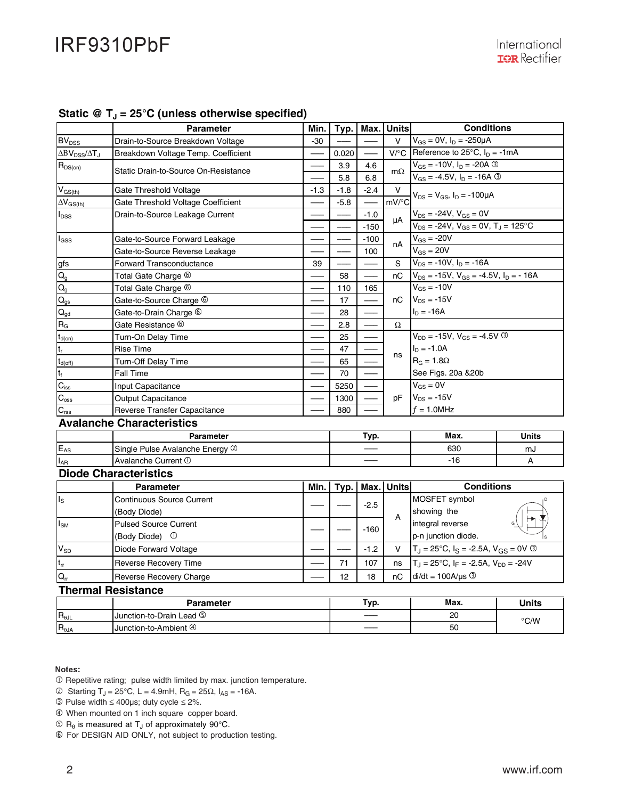|                                  | <b>Parameter</b>                     | Min.   | Typ.   | Max.   | Units              | <b>Conditions</b>                                     |              |
|----------------------------------|--------------------------------------|--------|--------|--------|--------------------|-------------------------------------------------------|--------------|
| $\mathsf{BV}_{\mathsf{DSS}}$     | Drain-to-Source Breakdown Voltage    | $-30$  |        |        | $\vee$             | $V_{GS} = 0V$ , $I_D = -250\mu A$                     |              |
| $\Delta BV_{\rm DSS}/\Delta T_J$ | Breakdown Voltage Temp. Coefficient  |        | 0.020  |        | $V$ <sup>o</sup> C | Reference to $25^{\circ}$ C, $I_D = -1mA$             |              |
| $R_{DS(on)}$                     |                                      |        | 3.9    | 4.6    |                    | $V_{GS} = -10V$ , $I_D = -20A$ 3                      |              |
|                                  | Static Drain-to-Source On-Resistance |        | 5.8    | 6.8    | $m\Omega$          | $V_{GS} = -4.5V$ , $I_D = -16A$ 3                     |              |
| $V_{GS(th)}$                     | Gate Threshold Voltage               | $-1.3$ | $-1.8$ | $-2.4$ | v                  |                                                       |              |
| $\Delta V_{GS(th)}$              | Gate Threshold Voltage Coefficient   |        | $-5.8$ |        | mV/°C              | $V_{DS} = V_{GS}$ , I <sub>D</sub> = -100µA           |              |
| l <sub>DSS</sub>                 | Drain-to-Source Leakage Current      |        |        | $-1.0$ | uA                 | $V_{DS} = -24V, V_{GS} = 0V$                          |              |
|                                  |                                      |        |        | $-150$ |                    | $V_{DS} = -24V$ , $V_{GS} = 0V$ , $T_J = 125$ °C      |              |
| l <sub>GSS</sub>                 | Gate-to-Source Forward Leakage       |        |        | $-100$ | nA                 | $V_{GS}$ = -20V                                       |              |
|                                  | Gate-to-Source Reverse Leakage       |        |        | 100    |                    | $V_{GS} = 20V$                                        |              |
| gfs                              | <b>Forward Transconductance</b>      | 39     |        |        | S                  | $V_{DS} = -10V$ , $I_D = -16A$                        |              |
| $\mathsf{Q}_{\mathsf{g}}$        | Total Gate Charge <sup>6</sup>       |        | 58     |        | nC                 | $V_{DS}$ = -15V, $V_{GS}$ = -4.5V, $I_D$ = -16A       |              |
| $\mathsf{Q}_{\texttt{g}}$        | Total Gate Charge <sup>6</sup>       |        | 110    | 165    |                    | $V_{GS} = -10V$                                       |              |
| $\mathsf{Q}_{\text{gs}}$         | Gate-to-Source Charge 6              |        | 17     |        | nC                 | $V_{DS} = -15V$                                       |              |
| $Q_{gd}$                         | Gate-to-Drain Charge <sup>6</sup>    |        | 28     |        |                    | I <sub>D</sub> = -16A                                 |              |
| $R_G$                            | Gate Resistance ®                    |        | 2.8    |        | Ω                  |                                                       |              |
| $t_{d(on)}$                      | Turn-On Delay Time                   |        | 25     |        |                    | $V_{DD} = -15V$ , $V_{GS} = -4.5V$ 3                  |              |
| t,                               | <b>Rise Time</b>                     |        | 47     |        | ns                 | $I_D = -1.0A$                                         |              |
| $t_{\text{d(off)}}$              | Turn-Off Delay Time                  |        | 65     |        |                    | $R_G = 1.8\Omega$                                     |              |
| t <sub>f</sub>                   | Fall Time                            |        | 70     |        |                    | See Figs. 20a & 20b                                   |              |
| $C_{\text{iss}}$                 | Input Capacitance                    |        | 5250   |        |                    | $V_{GS} = 0V$<br>$V_{DS} = -15V$<br>$f = 1.0$ MHz     |              |
| $\mathbf{C}_{\text{oss}}$        | <b>Output Capacitance</b>            |        | 1300   |        | pF                 |                                                       |              |
| $C_{\text{rss}}$                 | Reverse Transfer Capacitance         |        | 880    |        |                    |                                                       |              |
|                                  | <b>Avalanche Characteristics</b>     |        |        |        |                    |                                                       |              |
| Parameter                        |                                      |        |        | Typ.   |                    | Max.                                                  | <b>Units</b> |
| $E_{AS}$                         | Single Pulse Avalanche Energy 2      |        |        |        |                    | 630                                                   | mJ           |
| $I_{AR}$                         | Avalanche Current 1                  |        |        |        |                    | $-16$                                                 | A            |
|                                  | <b>Diode Characteristics</b>         |        |        |        |                    |                                                       |              |
|                                  | <b>Parameter</b>                     | Min.   | Typ.   | Max.   | Units              | <b>Conditions</b>                                     |              |
| Is                               | <b>Continuous Source Current</b>     |        |        | $-2.5$ |                    | MOSFET symbol                                         |              |
|                                  | (Body Diode)                         |        |        |        | A                  | showing the                                           |              |
| Isм                              | <b>Pulsed Source Current</b>         |        |        | $-160$ |                    | integral reverse                                      |              |
|                                  | (Body Diode) ①                       |        |        |        |                    | p-n junction diode.                                   |              |
| $V_{SD}$                         | Diode Forward Voltage                |        |        | $-1.2$ | $\vee$             | $T_J = 25^{\circ}C$ , $I_S = -2.5A$ , $V_{GS} = 0V$ 3 |              |
| $t_{rr}$                         | <b>Reverse Recovery Time</b>         |        | 71     | 107    | ns                 | $T_J = 25^{\circ}C$ , $I_F = -2.5A$ , $V_{DD} = -24V$ |              |
| $Q_{rr}$                         | Reverse Recovery Charge              |        | 12     | 18     | пC                 | $di/dt = 100A/\mu s$                                  |              |
| <b>Thermal Resistance</b>        |                                      |        |        |        |                    |                                                       |              |
|                                  | <b>Parameter</b>                     |        |        | Typ.   |                    | Max.                                                  | <b>Units</b> |
| $R_{\theta \text{JL}}$           | Junction-to-Drain Lead 5             |        |        |        |                    | 20                                                    |              |
| $R_{\theta JA}$                  | Junction-to-Ambient 4                |        |        |        |                    | 50                                                    | °C/W         |

## Static @ T<sub>1</sub> = 25°C (unless otherwise specified)

#### Notes:

- Repetitive rating; pulse width limited by max. junction temperature.
- © Starting T<sub>J</sub> = 25°C, L = 4.9mH, R<sub>G</sub> = 25Ω, I<sub>AS</sub> = -16A.

- Pulse width ≤ 400µs; duty cycle ≤ 2%.
- When mounted on 1 inch square copper board.
- $\circled{R}_{\theta}$  is measured at T<sub>J</sub> of approximately 90°C.
- For DESIGN AID ONLY, not subject to production testing.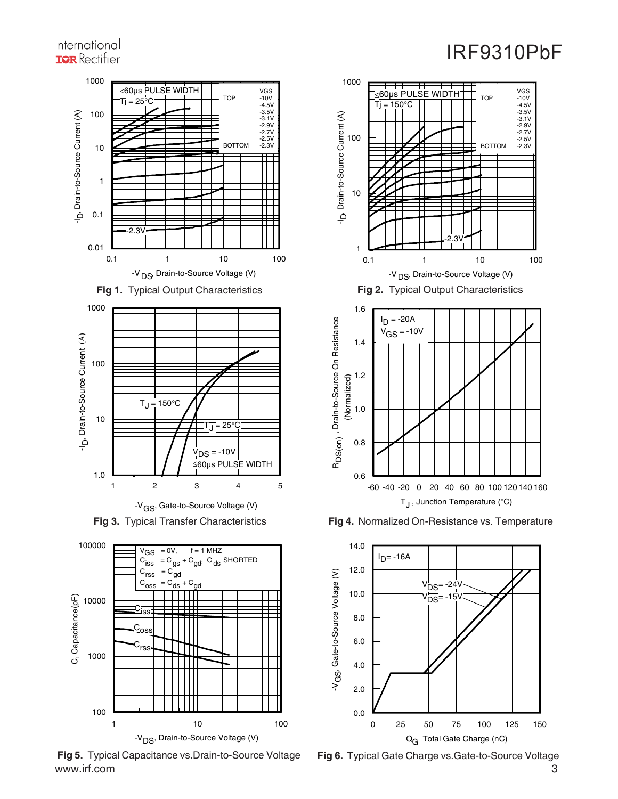## International **IGR** Rectifier











www.irf.com 3 **Fig 5.** Typical Capacitance vs.Drain-to-Source Voltage **Fig 6.** Typical Gate Charge vs.Gate-to-Source Voltage





T<sub>J</sub>, Junction Temperature (°C)

-60 -40 -20 0 20 40 60 80 100 120 140 160

**Fig 4.** Normalized On-Resistance vs. Temperature

0.6

RD

0.8

1.0

(Normalized)

(Normalized)

1.2

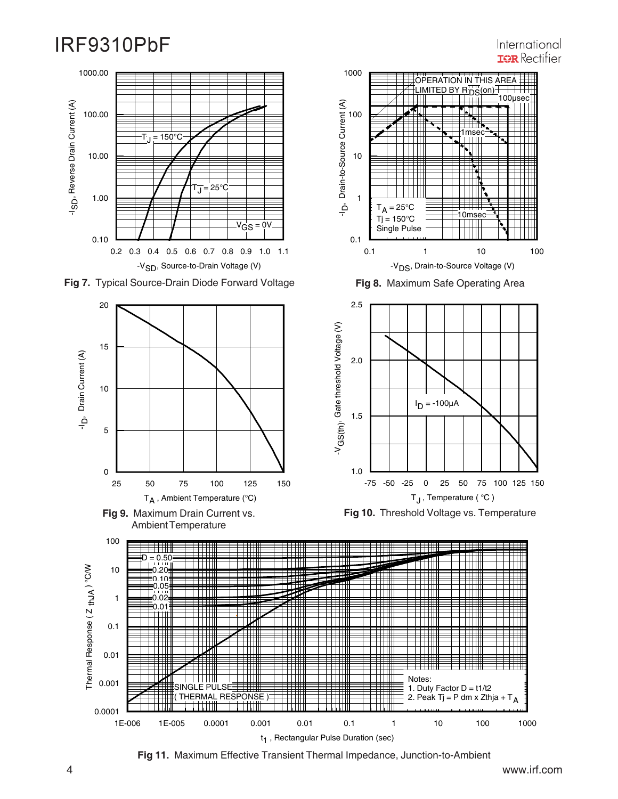## 0.2 0.3 0.4 0.5 0.6 0.7 0.8 0.9 1.0 1.1 -V<sub>SD</sub>, Source-to-Drain Voltage (V) 0.10 1.00 10.00 100.00 1000.00 م۔ D, Reverse Drain Current (A)  $\overline{J}$  = 25°C  $\overline{T}_1$  = 150°C  $v_{\text{GS}}$  = 0





**Fig 9.** Maximum Drain Current vs. Ambient Temperature



**Fig 8.** Maximum Safe Operating Area



**Fig 10.** Threshold Voltage vs. Temperature



**Fig 11.** Maximum Effective Transient Thermal Impedance, Junction-to-Ambient

International **IGR** Rectifier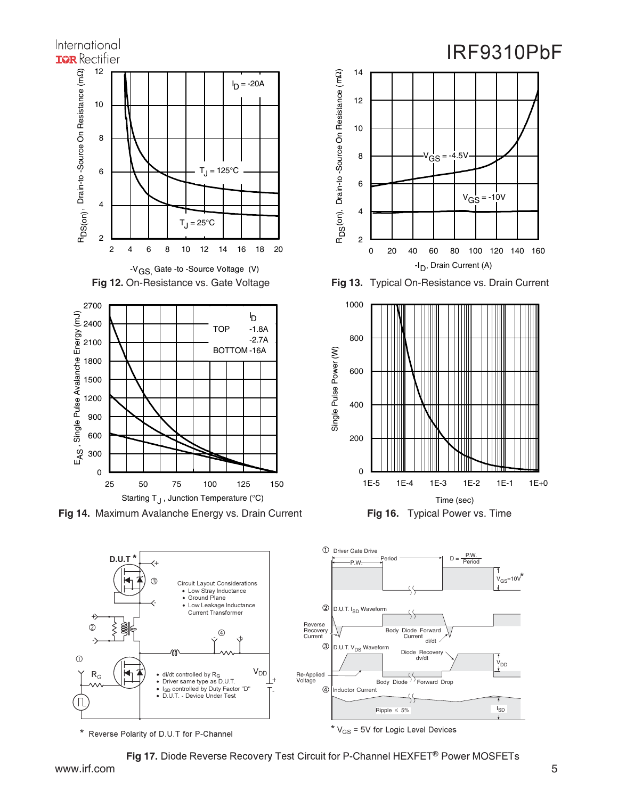



\* Reverse Polarity of D.U.T for P-Channel

Fig 17. Diode Reverse Recovery Test Circuit for P-Channel HEXFET® Power MOSFETs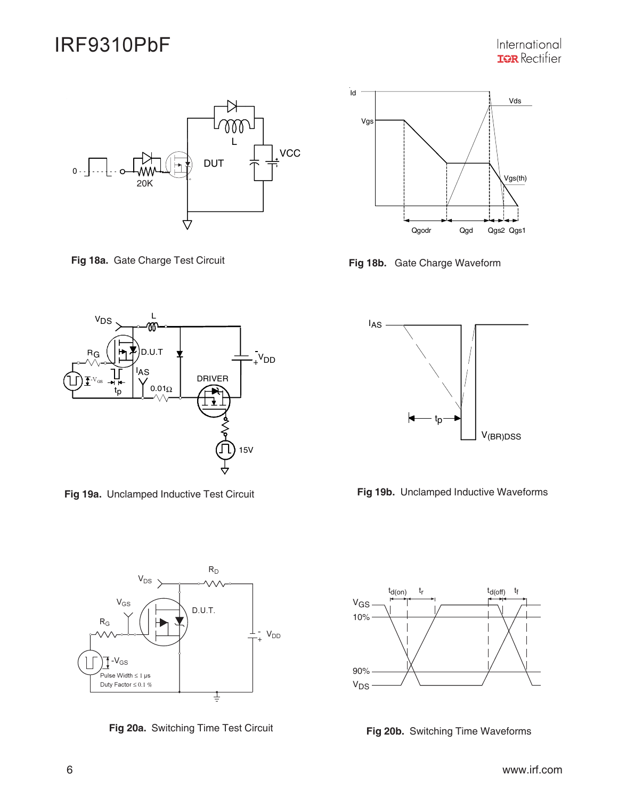International **IGR** Rectifier



**Fig 18a.** Gate Charge Test Circuit **Fig 18b.** Gate Charge Waveform



**Fig 19a.** Unclamped Inductive Test Circuit **Fig 19b.** Unclamped Inductive Waveforms









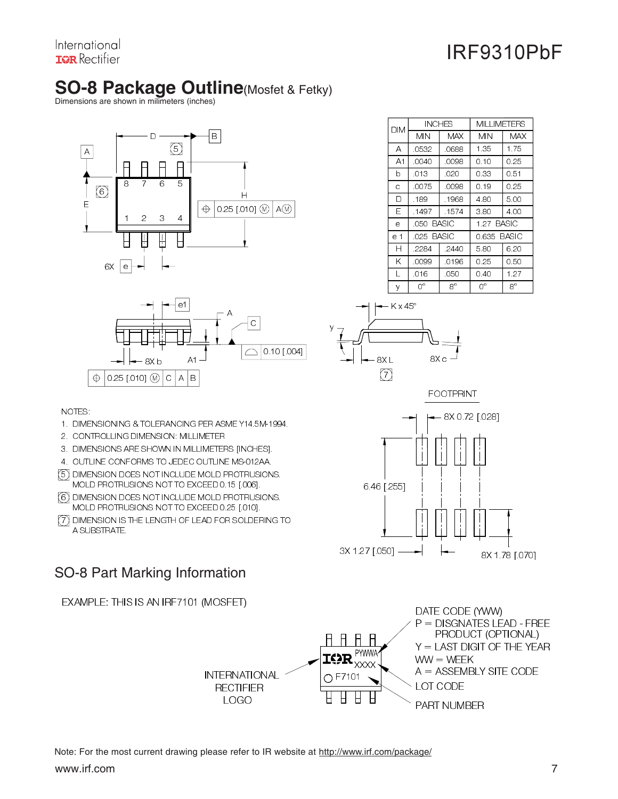International **ISR** Rectifier

# **IRF9310PbF**

# **SO-8 Package Outline**(Mosfet & Fetky)

Dimensions are shown in milimeters (inches)





| <b>INCHES</b><br>DІM |            | MILLIMETERS |            |             |  |
|----------------------|------------|-------------|------------|-------------|--|
|                      | MIN        | MAX         | MIN        | MAX         |  |
| A                    | .0532      | .0688       | 1.35       | 1.75        |  |
| A1                   | .0040      | .0098       | 0.10       | 0.25        |  |
| b                    | .013       | .020        | 0.33       | 0.51        |  |
| Ċ                    | .0075      | .0098       | 0.19       | 0.25        |  |
| D                    | .189       | .1968       | 4.80       | 5.00        |  |
| Е                    | 1497       | -1574       | 3.80       | 4.00        |  |
| e                    | .050 BASIC |             | 1.27 BASIC |             |  |
| e 1                  |            | .025 BASIC  |            | 0.635 BASIC |  |
| Н                    | 2284       | 2440        | 5.80       | 6.20        |  |
| Κ                    | .0099      | 0196        | 0.25       | 0.50        |  |
| L                    | .016       | .050        | 0.40       | 1.27        |  |
| V                    | 0°         | 8°          | U0         | $R^{\circ}$ |  |



NOTES:

- 1. DIMENSIONING & TOLERANCING PER ASME Y14.5M-1994.
- 2. CONTROLLING DIMENSION: MILLIMETER
- 3. DIMENSIONS ARE SHOWN IN MILLIMETERS [INCHES].
- 4. OUTLINE CONFORMS TO JEDEC OUTLINE MS-012AA.
- 5) DIMENSION DOES NOT INCLUDE MOLD PROTRUSIONS. MOLD PROTRUSIONS NOT TO EXCEED 0.15 [.006].
- 6) DIMENSION DOES NOT INCLUDE MOLD PROTRUSIONS. MOLD PROTRUSIONS NOT TO EXCEED 0.25 [.010].
- 7 ) DIMENSION IS THE LENGTH OF LEAD FOR SOLDERING TO A SUBSTRATE.

# SO-8 Part Marking Information

```
EXAMPLE: THIS IS AN IRF7101 (MOSFET)
```






www.irf.com 7 Note: For the most current drawing please refer to IR website at http://www.irf.com/package/